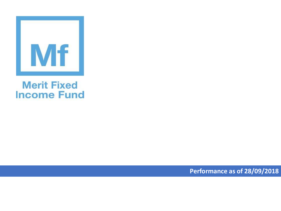

## **Merit Fixed Income Fund**

**Performance as of 28/09/2018**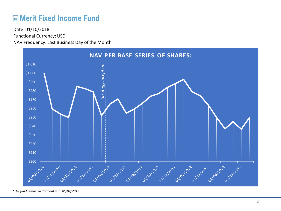## **ME Merit Fixed Income Fund**

Functional Currency: USD NAV Frequency: Last Business Day of the Month